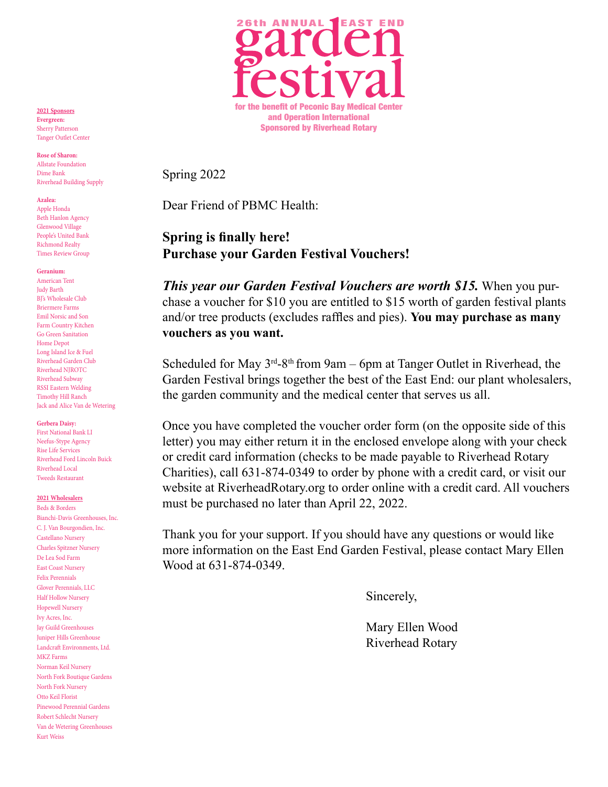

Spring 2022

Dear Friend of PBMC Health:

#### **Spring is finally here! Purchase your Garden Festival Vouchers!**

*This year our Garden Festival Vouchers are worth \$15.* When you purchase a voucher for \$10 you are entitled to \$15 worth of garden festival plants and/or tree products (excludes raffles and pies). **You may purchase as many vouchers as you want.**

Scheduled for May  $3^{rd}$ -8<sup>th</sup> from 9am – 6pm at Tanger Outlet in Riverhead, the Garden Festival brings together the best of the East End: our plant wholesalers, the garden community and the medical center that serves us all.

Once you have completed the voucher order form (on the opposite side of this letter) you may either return it in the enclosed envelope along with your check or credit card information (checks to be made payable to Riverhead Rotary Charities), call 631-874-0349 to order by phone with a credit card, or visit our website at RiverheadRotary.org to order online with a credit card. All vouchers must be purchased no later than April 22, 2022.

Thank you for your support. If you should have any questions or would like more information on the East End Garden Festival, please contact Mary Ellen Wood at 631-874-0349.

Sincerely,

Mary Ellen Wood Riverhead Rotary

**2021 Sponsors Evergreen:** Sherry Patterson Tanger Outlet Center

**Rose of Sharon:** Allstate Foundation Dime Bank Riverhead Building Supply

**Azalea:**

Apple Honda Beth Hanlon Agency Glenwood Village People's United Bank Richmond Realty Times Review Group

**Geranium:**

American Tent Judy Barth BI's Wholesale Club Briermere Farms Emil Norsic and Son Farm Country Kitchen Go Green Sanitation Home Depot Long Island Ice & Fuel Riverhead Garden Club Riverhead NJROTC Riverhead Subway RSSI Eastern Welding Timothy Hill Ranch Jack and Alice Van de Wetering

#### **Gerbera Daisy:**

First National Bank LI Neefus-Stype Agency Rise Life Services Riverhead Ford Lincoln Buick Riverhead Local Tweeds Restaurant

**2021 Wholesalers**

Beds & Borders Bianchi-Davis Greenhouses, Inc. C. J. Van Bourgondien, Inc. Castellano Nursery Charles Spitzner Nursery De Lea Sod Farm East Coast Nursery Felix Perennials Glover Perennials, LLC Half Hollow Nursery Hopewell Nursery Ivy Acres, Inc. Jay Guild Greenhouses Juniper Hills Greenhouse Landcraft Environments, Ltd. MKZ Farms Norman Keil Nursery North Fork Boutique Gardens North Fork Nursery Otto Keil Florist Pinewood Perennial Gardens Robert Schlecht Nursery Van de Wetering Greenhouses Kurt Weiss